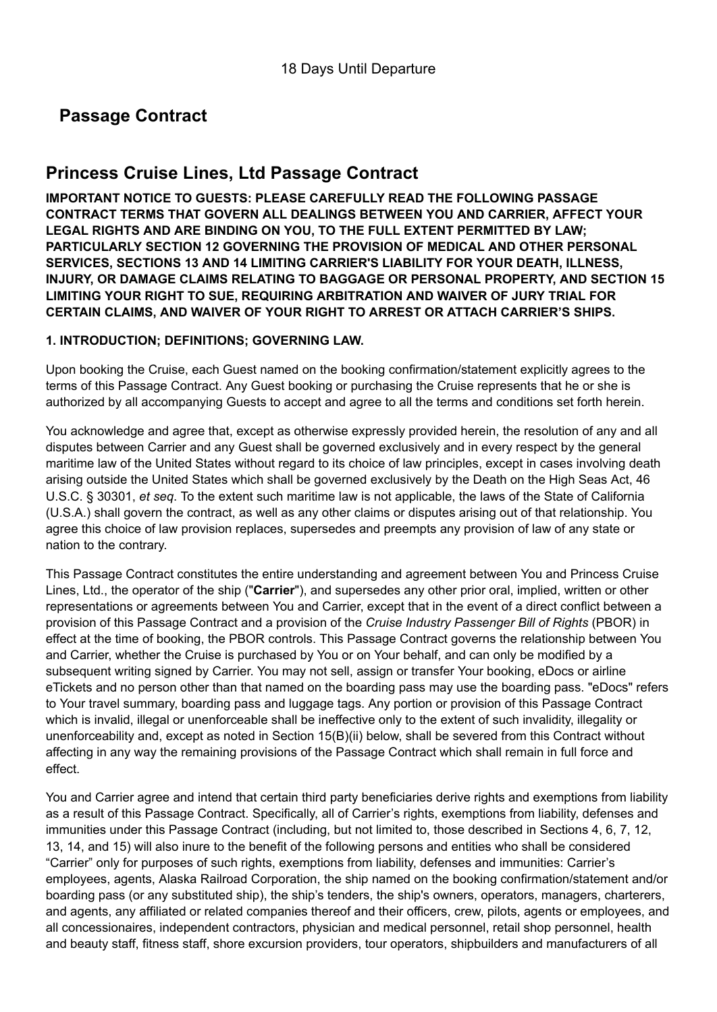# **Passage Contract**

# **Princess Cruise Lines, Ltd Passage Contract**

**IMPORTANT NOTICE TO GUESTS: PLEASE CAREFULLY READ THE FOLLOWING PASSAGE CONTRACT TERMS THAT GOVERN ALL DEALINGS BETWEEN YOU AND CARRIER, AFFECT YOUR LEGAL RIGHTS AND ARE BINDING ON YOU, TO THE FULL EXTENT PERMITTED BY LAW; PARTICULARLY SECTION 12 GOVERNING THE PROVISION OF MEDICAL AND OTHER PERSONAL SERVICES, SECTIONS 13 AND 14 LIMITING CARRIER'S LIABILITY FOR YOUR DEATH, ILLNESS, INJURY, OR DAMAGE CLAIMS RELATING TO BAGGAGE OR PERSONAL PROPERTY, AND SECTION 15 LIMITING YOUR RIGHT TO SUE, REQUIRING ARBITRATION AND WAIVER OF JURY TRIAL FOR CERTAIN CLAIMS, AND WAIVER OF YOUR RIGHT TO ARREST OR ATTACH CARRIER'S SHIPS.**

## **1. INTRODUCTION; DEFINITIONS; GOVERNING LAW.**

Upon booking the Cruise, each Guest named on the booking confirmation/statement explicitly agrees to the terms of this Passage Contract. Any Guest booking or purchasing the Cruise represents that he or she is authorized by all accompanying Guests to accept and agree to all the terms and conditions set forth herein.

You acknowledge and agree that, except as otherwise expressly provided herein, the resolution of any and all disputes between Carrier and any Guest shall be governed exclusively and in every respect by the general maritime law of the United States without regard to its choice of law principles, except in cases involving death arising outside the United States which shall be governed exclusively by the Death on the High Seas Act, 46 U.S.C. § 30301, *et seq*. To the extent such maritime law is not applicable, the laws of the State of California (U.S.A.) shall govern the contract, as well as any other claims or disputes arising out of that relationship. You agree this choice of law provision replaces, supersedes and preempts any provision of law of any state or nation to the contrary.

This Passage Contract constitutes the entire understanding and agreement between You and Princess Cruise Lines, Ltd., the operator of the ship ("**Carrier**"), and supersedes any other prior oral, implied, written or other representations or agreements between You and Carrier, except that in the event of a direct conflict between a provision of this Passage Contract and a provision of the *Cruise Industry Passenger Bill of Rights* (PBOR) in effect at the time of booking, the PBOR controls. This Passage Contract governs the relationship between You and Carrier, whether the Cruise is purchased by You or on Your behalf, and can only be modified by a subsequent writing signed by Carrier. You may not sell, assign or transfer Your booking, eDocs or airline eTickets and no person other than that named on the boarding pass may use the boarding pass. "eDocs" refers to Your travel summary, boarding pass and luggage tags. Any portion or provision of this Passage Contract which is invalid, illegal or unenforceable shall be ineffective only to the extent of such invalidity, illegality or unenforceability and, except as noted in Section 15(B)(ii) below, shall be severed from this Contract without affecting in any way the remaining provisions of the Passage Contract which shall remain in full force and effect.

You and Carrier agree and intend that certain third party beneficiaries derive rights and exemptions from liability as a result of this Passage Contract. Specifically, all of Carrier's rights, exemptions from liability, defenses and immunities under this Passage Contract (including, but not limited to, those described in Sections 4, 6, 7, 12, 13, 14, and 15) will also inure to the benefit of the following persons and entities who shall be considered "Carrier" only for purposes of such rights, exemptions from liability, defenses and immunities: Carrier's employees, agents, Alaska Railroad Corporation, the ship named on the booking confirmation/statement and/or boarding pass (or any substituted ship), the ship's tenders, the ship's owners, operators, managers, charterers, and agents, any affiliated or related companies thereof and their officers, crew, pilots, agents or employees, and all concessionaires, independent contractors, physician and medical personnel, retail shop personnel, health and beauty staff, fitness staff, shore excursion providers, tour operators, shipbuilders and manufacturers of all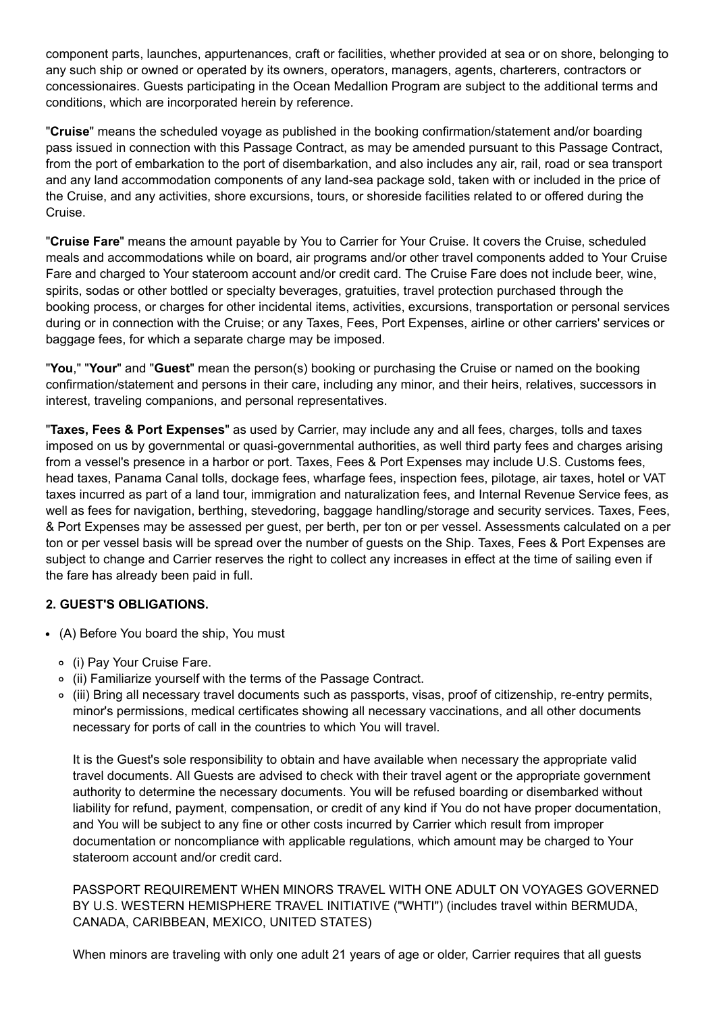component parts, launches, appurtenances, craft or facilities, whether provided at sea or on shore, belonging to any such ship or owned or operated by its owners, operators, managers, agents, charterers, contractors or concessionaires. Guests participating in the Ocean Medallion Program are subject to the additional terms and conditions, which are incorporated herein by reference.

"**Cruise**" means the scheduled voyage as published in the booking confirmation/statement and/or boarding pass issued in connection with this Passage Contract, as may be amended pursuant to this Passage Contract, from the port of embarkation to the port of disembarkation, and also includes any air, rail, road or sea transport and any land accommodation components of any land-sea package sold, taken with or included in the price of the Cruise, and any activities, shore excursions, tours, or shoreside facilities related to or offered during the Cruise.

"**Cruise Fare**" means the amount payable by You to Carrier for Your Cruise. It covers the Cruise, scheduled meals and accommodations while on board, air programs and/or other travel components added to Your Cruise Fare and charged to Your stateroom account and/or credit card. The Cruise Fare does not include beer, wine, spirits, sodas or other bottled or specialty beverages, gratuities, travel protection purchased through the booking process, or charges for other incidental items, activities, excursions, transportation or personal services during or in connection with the Cruise; or any Taxes, Fees, Port Expenses, airline or other carriers' services or baggage fees, for which a separate charge may be imposed.

"**You**," "**Your**" and "**Guest**" mean the person(s) booking or purchasing the Cruise or named on the booking confirmation/statement and persons in their care, including any minor, and their heirs, relatives, successors in interest, traveling companions, and personal representatives.

"**Taxes, Fees & Port Expenses**" as used by Carrier, may include any and all fees, charges, tolls and taxes imposed on us by governmental or quasi-governmental authorities, as well third party fees and charges arising from a vessel's presence in a harbor or port. Taxes, Fees & Port Expenses may include U.S. Customs fees, head taxes, Panama Canal tolls, dockage fees, wharfage fees, inspection fees, pilotage, air taxes, hotel or VAT taxes incurred as part of a land tour, immigration and naturalization fees, and Internal Revenue Service fees, as well as fees for navigation, berthing, stevedoring, baggage handling/storage and security services. Taxes, Fees, & Port Expenses may be assessed per guest, per berth, per ton or per vessel. Assessments calculated on a per ton or per vessel basis will be spread over the number of guests on the Ship. Taxes, Fees & Port Expenses are subject to change and Carrier reserves the right to collect any increases in effect at the time of sailing even if the fare has already been paid in full.

## **2. GUEST'S OBLIGATIONS.**

- (A) Before You board the ship, You must
	- (i) Pay Your Cruise Fare.
	- (ii) Familiarize yourself with the terms of the Passage Contract.
	- (iii) Bring all necessary travel documents such as passports, visas, proof of citizenship, re-entry permits, minor's permissions, medical certificates showing all necessary vaccinations, and all other documents necessary for ports of call in the countries to which You will travel.

It is the Guest's sole responsibility to obtain and have available when necessary the appropriate valid travel documents. All Guests are advised to check with their travel agent or the appropriate government authority to determine the necessary documents. You will be refused boarding or disembarked without liability for refund, payment, compensation, or credit of any kind if You do not have proper documentation, and You will be subject to any fine or other costs incurred by Carrier which result from improper documentation or noncompliance with applicable regulations, which amount may be charged to Your stateroom account and/or credit card.

PASSPORT REQUIREMENT WHEN MINORS TRAVEL WITH ONE ADULT ON VOYAGES GOVERNED BY U.S. WESTERN HEMISPHERE TRAVEL INITIATIVE ("WHTI") (includes travel within BERMUDA, CANADA, CARIBBEAN, MEXICO, UNITED STATES)

When minors are traveling with only one adult 21 years of age or older, Carrier requires that all guests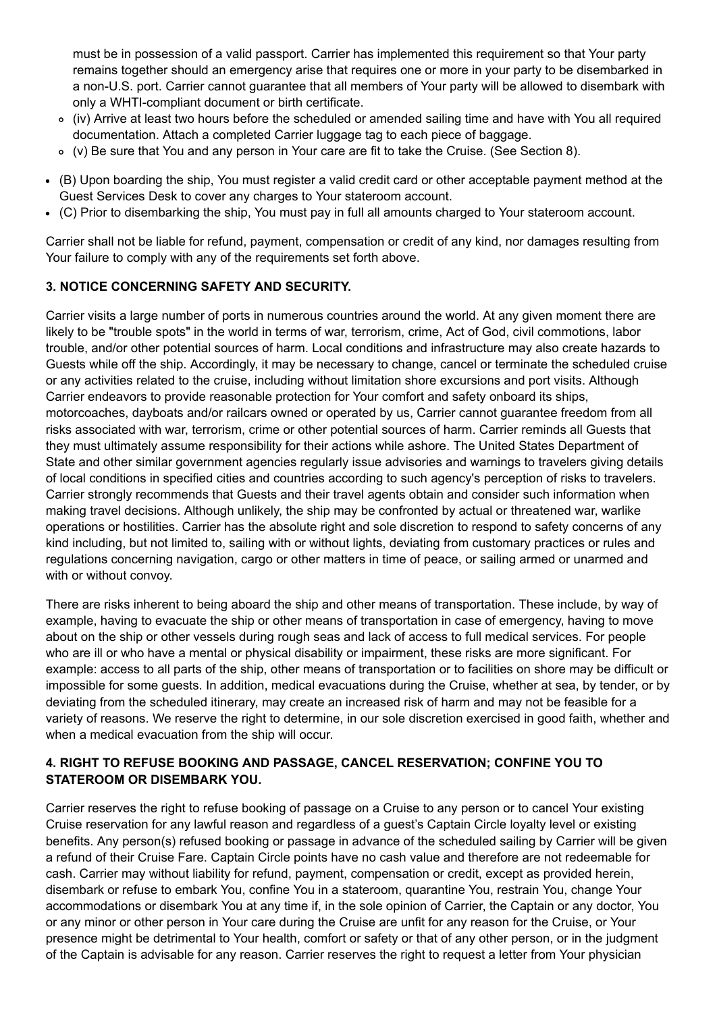must be in possession of a valid passport. Carrier has implemented this requirement so that Your party remains together should an emergency arise that requires one or more in your party to be disembarked in a non-U.S. port. Carrier cannot guarantee that all members of Your party will be allowed to disembark with only a WHTI-compliant document or birth certificate.

- (iv) Arrive at least two hours before the scheduled or amended sailing time and have with You all required documentation. Attach a completed Carrier luggage tag to each piece of baggage.
- (v) Be sure that You and any person in Your care are fit to take the Cruise. (See Section 8).
- (B) Upon boarding the ship, You must register a valid credit card or other acceptable payment method at the Guest Services Desk to cover any charges to Your stateroom account.
- (C) Prior to disembarking the ship, You must pay in full all amounts charged to Your stateroom account.

Carrier shall not be liable for refund, payment, compensation or credit of any kind, nor damages resulting from Your failure to comply with any of the requirements set forth above.

## **3. NOTICE CONCERNING SAFETY AND SECURITY.**

Carrier visits a large number of ports in numerous countries around the world. At any given moment there are likely to be "trouble spots" in the world in terms of war, terrorism, crime, Act of God, civil commotions, labor trouble, and/or other potential sources of harm. Local conditions and infrastructure may also create hazards to Guests while off the ship. Accordingly, it may be necessary to change, cancel or terminate the scheduled cruise or any activities related to the cruise, including without limitation shore excursions and port visits. Although Carrier endeavors to provide reasonable protection for Your comfort and safety onboard its ships, motorcoaches, dayboats and/or railcars owned or operated by us, Carrier cannot guarantee freedom from all risks associated with war, terrorism, crime or other potential sources of harm. Carrier reminds all Guests that they must ultimately assume responsibility for their actions while ashore. The United States Department of State and other similar government agencies regularly issue advisories and warnings to travelers giving details of local conditions in specified cities and countries according to such agency's perception of risks to travelers. Carrier strongly recommends that Guests and their travel agents obtain and consider such information when making travel decisions. Although unlikely, the ship may be confronted by actual or threatened war, warlike operations or hostilities. Carrier has the absolute right and sole discretion to respond to safety concerns of any kind including, but not limited to, sailing with or without lights, deviating from customary practices or rules and regulations concerning navigation, cargo or other matters in time of peace, or sailing armed or unarmed and with or without convoy.

There are risks inherent to being aboard the ship and other means of transportation. These include, by way of example, having to evacuate the ship or other means of transportation in case of emergency, having to move about on the ship or other vessels during rough seas and lack of access to full medical services. For people who are ill or who have a mental or physical disability or impairment, these risks are more significant. For example: access to all parts of the ship, other means of transportation or to facilities on shore may be difficult or impossible for some guests. In addition, medical evacuations during the Cruise, whether at sea, by tender, or by deviating from the scheduled itinerary, may create an increased risk of harm and may not be feasible for a variety of reasons. We reserve the right to determine, in our sole discretion exercised in good faith, whether and when a medical evacuation from the ship will occur.

## **4. RIGHT TO REFUSE BOOKING AND PASSAGE, CANCEL RESERVATION; CONFINE YOU TO STATEROOM OR DISEMBARK YOU.**

Carrier reserves the right to refuse booking of passage on a Cruise to any person or to cancel Your existing Cruise reservation for any lawful reason and regardless of a guest's Captain Circle loyalty level or existing benefits. Any person(s) refused booking or passage in advance of the scheduled sailing by Carrier will be given a refund of their Cruise Fare. Captain Circle points have no cash value and therefore are not redeemable for cash. Carrier may without liability for refund, payment, compensation or credit, except as provided herein, disembark or refuse to embark You, confine You in a stateroom, quarantine You, restrain You, change Your accommodations or disembark You at any time if, in the sole opinion of Carrier, the Captain or any doctor, You or any minor or other person in Your care during the Cruise are unfit for any reason for the Cruise, or Your presence might be detrimental to Your health, comfort or safety or that of any other person, or in the judgment of the Captain is advisable for any reason. Carrier reserves the right to request a letter from Your physician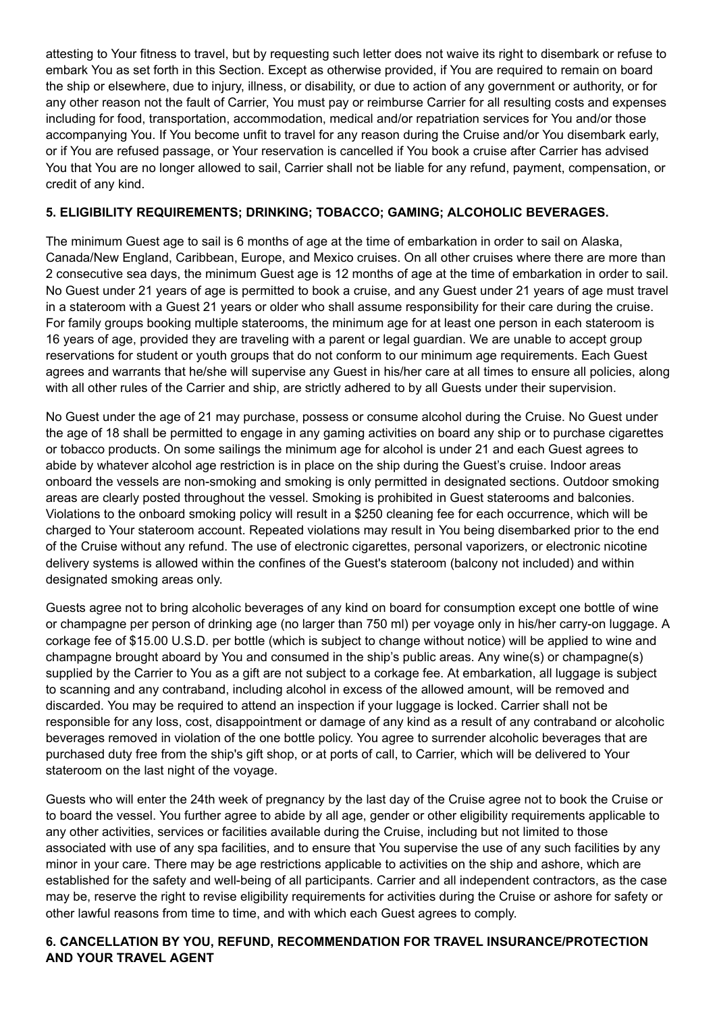attesting to Your fitness to travel, but by requesting such letter does not waive its right to disembark or refuse to embark You as set forth in this Section. Except as otherwise provided, if You are required to remain on board the ship or elsewhere, due to injury, illness, or disability, or due to action of any government or authority, or for any other reason not the fault of Carrier, You must pay or reimburse Carrier for all resulting costs and expenses including for food, transportation, accommodation, medical and/or repatriation services for You and/or those accompanying You. If You become unfit to travel for any reason during the Cruise and/or You disembark early, or if You are refused passage, or Your reservation is cancelled if You book a cruise after Carrier has advised You that You are no longer allowed to sail, Carrier shall not be liable for any refund, payment, compensation, or credit of any kind.

## **5. ELIGIBILITY REQUIREMENTS; DRINKING; TOBACCO; GAMING; ALCOHOLIC BEVERAGES.**

The minimum Guest age to sail is 6 months of age at the time of embarkation in order to sail on Alaska, Canada/New England, Caribbean, Europe, and Mexico cruises. On all other cruises where there are more than 2 consecutive sea days, the minimum Guest age is 12 months of age at the time of embarkation in order to sail. No Guest under 21 years of age is permitted to book a cruise, and any Guest under 21 years of age must travel in a stateroom with a Guest 21 years or older who shall assume responsibility for their care during the cruise. For family groups booking multiple staterooms, the minimum age for at least one person in each stateroom is 16 years of age, provided they are traveling with a parent or legal guardian. We are unable to accept group reservations for student or youth groups that do not conform to our minimum age requirements. Each Guest agrees and warrants that he/she will supervise any Guest in his/her care at all times to ensure all policies, along with all other rules of the Carrier and ship, are strictly adhered to by all Guests under their supervision.

No Guest under the age of 21 may purchase, possess or consume alcohol during the Cruise. No Guest under the age of 18 shall be permitted to engage in any gaming activities on board any ship or to purchase cigarettes or tobacco products. On some sailings the minimum age for alcohol is under 21 and each Guest agrees to abide by whatever alcohol age restriction is in place on the ship during the Guest's cruise. Indoor areas onboard the vessels are non-smoking and smoking is only permitted in designated sections. Outdoor smoking areas are clearly posted throughout the vessel. Smoking is prohibited in Guest staterooms and balconies. Violations to the onboard smoking policy will result in a \$250 cleaning fee for each occurrence, which will be charged to Your stateroom account. Repeated violations may result in You being disembarked prior to the end of the Cruise without any refund. The use of electronic cigarettes, personal vaporizers, or electronic nicotine delivery systems is allowed within the confines of the Guest's stateroom (balcony not included) and within designated smoking areas only.

Guests agree not to bring alcoholic beverages of any kind on board for consumption except one bottle of wine or champagne per person of drinking age (no larger than 750 ml) per voyage only in his/her carry-on luggage. A corkage fee of \$15.00 U.S.D. per bottle (which is subject to change without notice) will be applied to wine and champagne brought aboard by You and consumed in the ship's public areas. Any wine(s) or champagne(s) supplied by the Carrier to You as a gift are not subject to a corkage fee. At embarkation, all luggage is subject to scanning and any contraband, including alcohol in excess of the allowed amount, will be removed and discarded. You may be required to attend an inspection if your luggage is locked. Carrier shall not be responsible for any loss, cost, disappointment or damage of any kind as a result of any contraband or alcoholic beverages removed in violation of the one bottle policy. You agree to surrender alcoholic beverages that are purchased duty free from the ship's gift shop, or at ports of call, to Carrier, which will be delivered to Your stateroom on the last night of the voyage.

Guests who will enter the 24th week of pregnancy by the last day of the Cruise agree not to book the Cruise or to board the vessel. You further agree to abide by all age, gender or other eligibility requirements applicable to any other activities, services or facilities available during the Cruise, including but not limited to those associated with use of any spa facilities, and to ensure that You supervise the use of any such facilities by any minor in your care. There may be age restrictions applicable to activities on the ship and ashore, which are established for the safety and well-being of all participants. Carrier and all independent contractors, as the case may be, reserve the right to revise eligibility requirements for activities during the Cruise or ashore for safety or other lawful reasons from time to time, and with which each Guest agrees to comply.

# **6. CANCELLATION BY YOU, REFUND, RECOMMENDATION FOR TRAVEL INSURANCE/PROTECTION AND YOUR TRAVEL AGENT**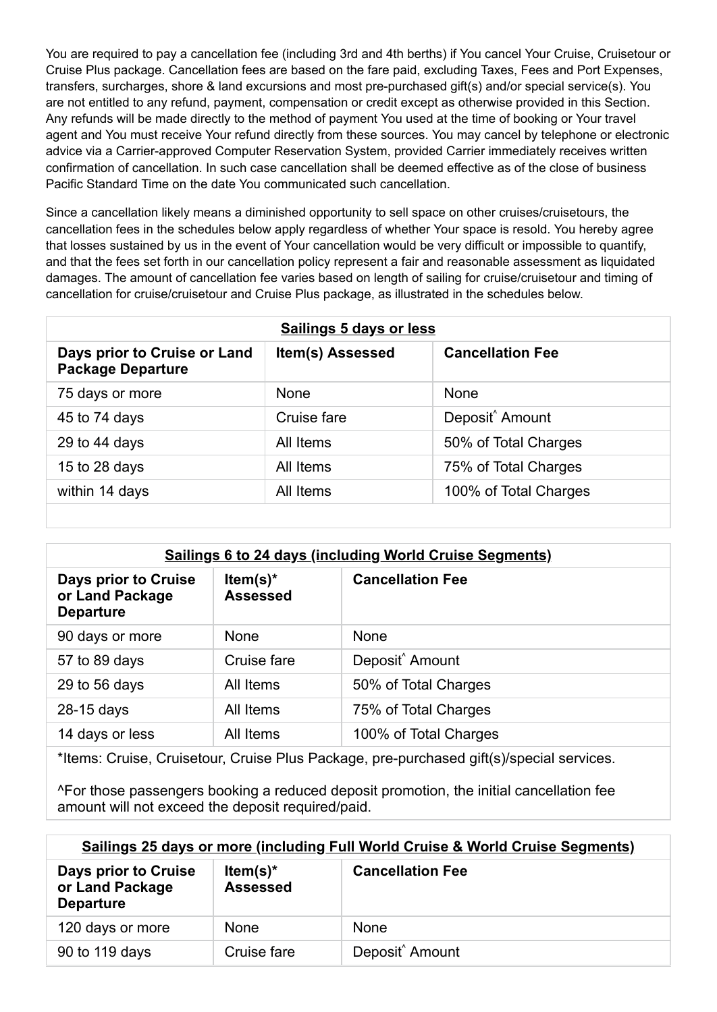You are required to pay a cancellation fee (including 3rd and 4th berths) if You cancel Your Cruise, Cruisetour or Cruise Plus package. Cancellation fees are based on the fare paid, excluding Taxes, Fees and Port Expenses, transfers, surcharges, shore & land excursions and most pre-purchased gift(s) and/or special service(s). You are not entitled to any refund, payment, compensation or credit except as otherwise provided in this Section. Any refunds will be made directly to the method of payment You used at the time of booking or Your travel agent and You must receive Your refund directly from these sources. You may cancel by telephone or electronic advice via a Carrier-approved Computer Reservation System, provided Carrier immediately receives written confirmation of cancellation. In such case cancellation shall be deemed effective as of the close of business Pacific Standard Time on the date You communicated such cancellation.

Since a cancellation likely means a diminished opportunity to sell space on other cruises/cruisetours, the cancellation fees in the schedules below apply regardless of whether Your space is resold. You hereby agree that losses sustained by us in the event of Your cancellation would be very difficult or impossible to quantify, and that the fees set forth in our cancellation policy represent a fair and reasonable assessment as liquidated damages. The amount of cancellation fee varies based on length of sailing for cruise/cruisetour and timing of cancellation for cruise/cruisetour and Cruise Plus package, as illustrated in the schedules below.

| Sailings 5 days or less                                  |                  |                             |  |  |
|----------------------------------------------------------|------------------|-----------------------------|--|--|
| Days prior to Cruise or Land<br><b>Package Departure</b> | Item(s) Assessed | <b>Cancellation Fee</b>     |  |  |
| 75 days or more                                          | <b>None</b>      | None                        |  |  |
| 45 to 74 days                                            | Cruise fare      | Deposit <sup>^</sup> Amount |  |  |
| 29 to 44 days                                            | All Items        | 50% of Total Charges        |  |  |
| 15 to 28 days                                            | All Items        | 75% of Total Charges        |  |  |
| within 14 days                                           | All Items        | 100% of Total Charges       |  |  |
|                                                          |                  |                             |  |  |

| <b>Sailings 6 to 24 days (including World Cruise Segments)</b> |                                |                             |  |
|----------------------------------------------------------------|--------------------------------|-----------------------------|--|
| Days prior to Cruise<br>or Land Package<br><b>Departure</b>    | Item(s) $*$<br><b>Assessed</b> | <b>Cancellation Fee</b>     |  |
| 90 days or more                                                | <b>None</b>                    | <b>None</b>                 |  |
| 57 to 89 days                                                  | Cruise fare                    | Deposit <sup>^</sup> Amount |  |
| 29 to 56 days                                                  | All Items                      | 50% of Total Charges        |  |
| 28-15 days                                                     | All Items                      | 75% of Total Charges        |  |
| 14 days or less                                                | All Items                      | 100% of Total Charges       |  |

\*Items: Cruise, Cruisetour, Cruise Plus Package, pre-purchased gift(s)/special services.

^For those passengers booking a reduced deposit promotion, the initial cancellation fee amount will not exceed the deposit required/paid.

| Sailings 25 days or more (including Full World Cruise & World Cruise Segments) |                                |                             |  |  |
|--------------------------------------------------------------------------------|--------------------------------|-----------------------------|--|--|
| Days prior to Cruise<br>or Land Package<br><b>Departure</b>                    | Item(s) $*$<br><b>Assessed</b> | <b>Cancellation Fee</b>     |  |  |
| 120 days or more                                                               | <b>None</b>                    | <b>None</b>                 |  |  |
| 90 to 119 days                                                                 | Cruise fare                    | Deposit <sup>^</sup> Amount |  |  |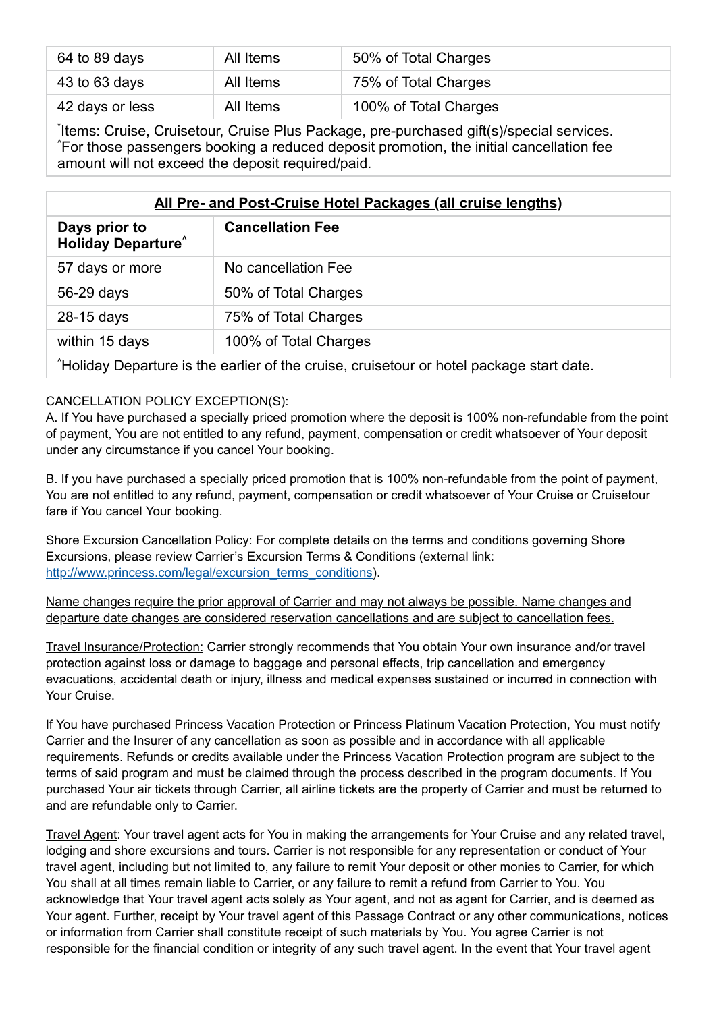| 64 to 89 days   | All Items | 50% of Total Charges  |
|-----------------|-----------|-----------------------|
| $43$ to 63 days | All Items | 75% of Total Charges  |
| 42 days or less | All Items | 100% of Total Charges |

Items: Cruise, Cruisetour, Cruise Plus Package, pre-purchased gift(s)/special services. For those passengers booking a reduced deposit promotion, the initial cancellation fee ^ amount will not exceed the deposit required/paid.

| All Pre- and Post-Cruise Hotel Packages (all cruise lengths)                            |                         |  |
|-----------------------------------------------------------------------------------------|-------------------------|--|
| Days prior to<br><b>Holiday Departure</b>                                               | <b>Cancellation Fee</b> |  |
| 57 days or more                                                                         | No cancellation Fee     |  |
| 56-29 days                                                                              | 50% of Total Charges    |  |
| 28-15 days                                                                              | 75% of Total Charges    |  |
| within 15 days                                                                          | 100% of Total Charges   |  |
| Holiday Departure is the earlier of the cruise, cruisetour or hotel package start date. |                         |  |

# CANCELLATION POLICY EXCEPTION(S):

A. If You have purchased a specially priced promotion where the deposit is 100% non-refundable from the point of payment, You are not entitled to any refund, payment, compensation or credit whatsoever of Your deposit under any circumstance if you cancel Your booking.

B. If you have purchased a specially priced promotion that is 100% non-refundable from the point of payment, You are not entitled to any refund, payment, compensation or credit whatsoever of Your Cruise or Cruisetour fare if You cancel Your booking.

Shore Excursion Cancellation Policy: For complete details on the terms and conditions governing Shore Excursions, please review Carrier's Excursion Terms & Conditions (external link: [http://www.princess.com/legal/excursion\\_terms\\_conditions\)](http://www.princess.com/legal/excursion_terms_conditions).

Name changes require the prior approval of Carrier and may not always be possible. Name changes and departure date changes are considered reservation cancellations and are subject to cancellation fees.

Travel Insurance/Protection: Carrier strongly recommends that You obtain Your own insurance and/or travel protection against loss or damage to baggage and personal effects, trip cancellation and emergency evacuations, accidental death or injury, illness and medical expenses sustained or incurred in connection with Your Cruise.

If You have purchased Princess Vacation Protection or Princess Platinum Vacation Protection, You must notify Carrier and the Insurer of any cancellation as soon as possible and in accordance with all applicable requirements. Refunds or credits available under the Princess Vacation Protection program are subject to the terms of said program and must be claimed through the process described in the program documents. If You purchased Your air tickets through Carrier, all airline tickets are the property of Carrier and must be returned to and are refundable only to Carrier.

Travel Agent: Your travel agent acts for You in making the arrangements for Your Cruise and any related travel, lodging and shore excursions and tours. Carrier is not responsible for any representation or conduct of Your travel agent, including but not limited to, any failure to remit Your deposit or other monies to Carrier, for which You shall at all times remain liable to Carrier, or any failure to remit a refund from Carrier to You. You acknowledge that Your travel agent acts solely as Your agent, and not as agent for Carrier, and is deemed as Your agent. Further, receipt by Your travel agent of this Passage Contract or any other communications, notices or information from Carrier shall constitute receipt of such materials by You. You agree Carrier is not responsible for the financial condition or integrity of any such travel agent. In the event that Your travel agent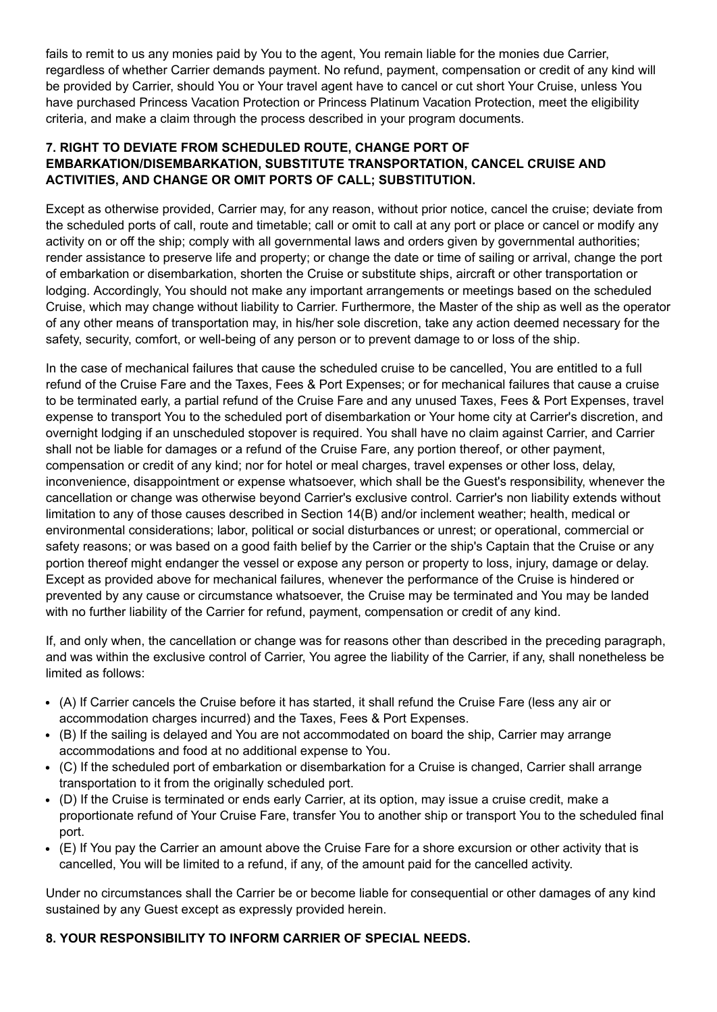fails to remit to us any monies paid by You to the agent, You remain liable for the monies due Carrier, regardless of whether Carrier demands payment. No refund, payment, compensation or credit of any kind will be provided by Carrier, should You or Your travel agent have to cancel or cut short Your Cruise, unless You have purchased Princess Vacation Protection or Princess Platinum Vacation Protection, meet the eligibility criteria, and make a claim through the process described in your program documents.

## **7. RIGHT TO DEVIATE FROM SCHEDULED ROUTE, CHANGE PORT OF EMBARKATION/DISEMBARKATION, SUBSTITUTE TRANSPORTATION, CANCEL CRUISE AND ACTIVITIES, AND CHANGE OR OMIT PORTS OF CALL; SUBSTITUTION.**

Except as otherwise provided, Carrier may, for any reason, without prior notice, cancel the cruise; deviate from the scheduled ports of call, route and timetable; call or omit to call at any port or place or cancel or modify any activity on or off the ship; comply with all governmental laws and orders given by governmental authorities; render assistance to preserve life and property; or change the date or time of sailing or arrival, change the port of embarkation or disembarkation, shorten the Cruise or substitute ships, aircraft or other transportation or lodging. Accordingly, You should not make any important arrangements or meetings based on the scheduled Cruise, which may change without liability to Carrier. Furthermore, the Master of the ship as well as the operator of any other means of transportation may, in his/her sole discretion, take any action deemed necessary for the safety, security, comfort, or well-being of any person or to prevent damage to or loss of the ship.

In the case of mechanical failures that cause the scheduled cruise to be cancelled, You are entitled to a full refund of the Cruise Fare and the Taxes, Fees & Port Expenses; or for mechanical failures that cause a cruise to be terminated early, a partial refund of the Cruise Fare and any unused Taxes, Fees & Port Expenses, travel expense to transport You to the scheduled port of disembarkation or Your home city at Carrier's discretion, and overnight lodging if an unscheduled stopover is required. You shall have no claim against Carrier, and Carrier shall not be liable for damages or a refund of the Cruise Fare, any portion thereof, or other payment, compensation or credit of any kind; nor for hotel or meal charges, travel expenses or other loss, delay, inconvenience, disappointment or expense whatsoever, which shall be the Guest's responsibility, whenever the cancellation or change was otherwise beyond Carrier's exclusive control. Carrier's non liability extends without limitation to any of those causes described in Section 14(B) and/or inclement weather; health, medical or environmental considerations; labor, political or social disturbances or unrest; or operational, commercial or safety reasons; or was based on a good faith belief by the Carrier or the ship's Captain that the Cruise or any portion thereof might endanger the vessel or expose any person or property to loss, injury, damage or delay. Except as provided above for mechanical failures, whenever the performance of the Cruise is hindered or prevented by any cause or circumstance whatsoever, the Cruise may be terminated and You may be landed with no further liability of the Carrier for refund, payment, compensation or credit of any kind.

If, and only when, the cancellation or change was for reasons other than described in the preceding paragraph, and was within the exclusive control of Carrier, You agree the liability of the Carrier, if any, shall nonetheless be limited as follows:

- (A) If Carrier cancels the Cruise before it has started, it shall refund the Cruise Fare (less any air or accommodation charges incurred) and the Taxes, Fees & Port Expenses.
- (B) If the sailing is delayed and You are not accommodated on board the ship, Carrier may arrange accommodations and food at no additional expense to You.
- (C) If the scheduled port of embarkation or disembarkation for a Cruise is changed, Carrier shall arrange transportation to it from the originally scheduled port.
- (D) If the Cruise is terminated or ends early Carrier, at its option, may issue a cruise credit, make a proportionate refund of Your Cruise Fare, transfer You to another ship or transport You to the scheduled final port.
- (E) If You pay the Carrier an amount above the Cruise Fare for a shore excursion or other activity that is cancelled, You will be limited to a refund, if any, of the amount paid for the cancelled activity.

Under no circumstances shall the Carrier be or become liable for consequential or other damages of any kind sustained by any Guest except as expressly provided herein.

# **8. YOUR RESPONSIBILITY TO INFORM CARRIER OF SPECIAL NEEDS.**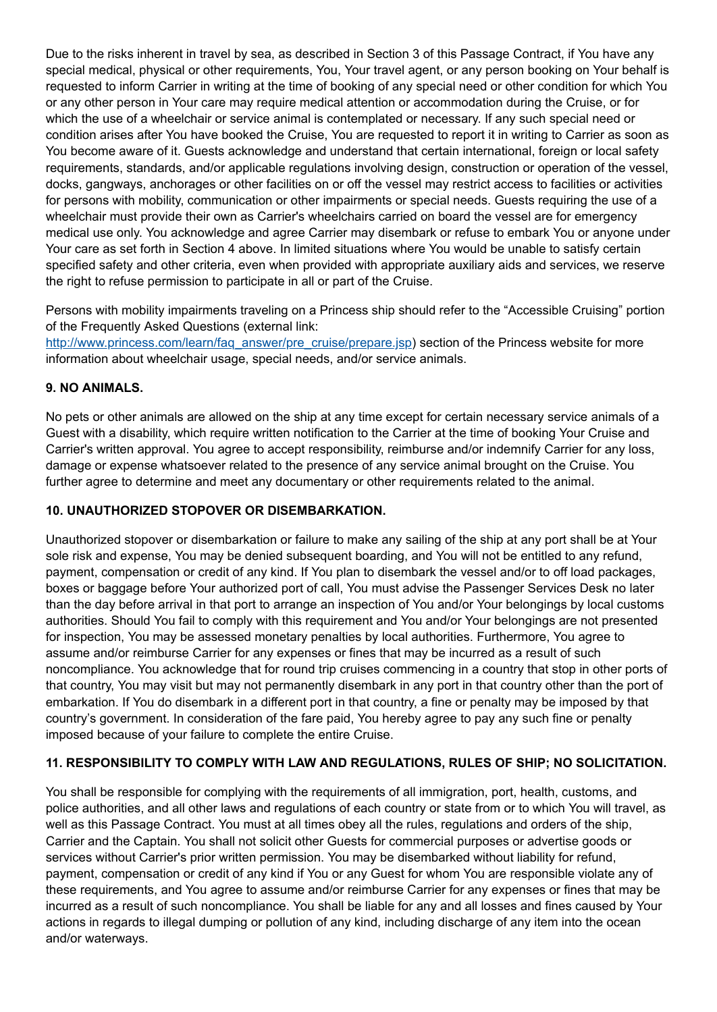Due to the risks inherent in travel by sea, as described in Section 3 of this Passage Contract, if You have any special medical, physical or other requirements, You, Your travel agent, or any person booking on Your behalf is requested to inform Carrier in writing at the time of booking of any special need or other condition for which You or any other person in Your care may require medical attention or accommodation during the Cruise, or for which the use of a wheelchair or service animal is contemplated or necessary. If any such special need or condition arises after You have booked the Cruise, You are requested to report it in writing to Carrier as soon as You become aware of it. Guests acknowledge and understand that certain international, foreign or local safety requirements, standards, and/or applicable regulations involving design, construction or operation of the vessel, docks, gangways, anchorages or other facilities on or off the vessel may restrict access to facilities or activities for persons with mobility, communication or other impairments or special needs. Guests requiring the use of a wheelchair must provide their own as Carrier's wheelchairs carried on board the vessel are for emergency medical use only. You acknowledge and agree Carrier may disembark or refuse to embark You or anyone under Your care as set forth in Section 4 above. In limited situations where You would be unable to satisfy certain specified safety and other criteria, even when provided with appropriate auxiliary aids and services, we reserve the right to refuse permission to participate in all or part of the Cruise.

Persons with mobility impairments traveling on a Princess ship should refer to the "Accessible Cruising" portion of the Frequently Asked Questions (external link:

[http://www.princess.com/learn/faq\\_answer/pre\\_cruise/prepare.jsp](http://www.princess.com/learn/faq_answer/pre_cruise/prepare.jsp)) section of the Princess website for more information about wheelchair usage, special needs, and/or service animals.

## **9. NO ANIMALS.**

No pets or other animals are allowed on the ship at any time except for certain necessary service animals of a Guest with a disability, which require written notification to the Carrier at the time of booking Your Cruise and Carrier's written approval. You agree to accept responsibility, reimburse and/or indemnify Carrier for any loss, damage or expense whatsoever related to the presence of any service animal brought on the Cruise. You further agree to determine and meet any documentary or other requirements related to the animal.

#### **10. UNAUTHORIZED STOPOVER OR DISEMBARKATION.**

Unauthorized stopover or disembarkation or failure to make any sailing of the ship at any port shall be at Your sole risk and expense, You may be denied subsequent boarding, and You will not be entitled to any refund, payment, compensation or credit of any kind. If You plan to disembark the vessel and/or to off load packages, boxes or baggage before Your authorized port of call, You must advise the Passenger Services Desk no later than the day before arrival in that port to arrange an inspection of You and/or Your belongings by local customs authorities. Should You fail to comply with this requirement and You and/or Your belongings are not presented for inspection, You may be assessed monetary penalties by local authorities. Furthermore, You agree to assume and/or reimburse Carrier for any expenses or fines that may be incurred as a result of such noncompliance. You acknowledge that for round trip cruises commencing in a country that stop in other ports of that country, You may visit but may not permanently disembark in any port in that country other than the port of embarkation. If You do disembark in a different port in that country, a fine or penalty may be imposed by that country's government. In consideration of the fare paid, You hereby agree to pay any such fine or penalty imposed because of your failure to complete the entire Cruise.

## **11. RESPONSIBILITY TO COMPLY WITH LAW AND REGULATIONS, RULES OF SHIP; NO SOLICITATION.**

You shall be responsible for complying with the requirements of all immigration, port, health, customs, and police authorities, and all other laws and regulations of each country or state from or to which You will travel, as well as this Passage Contract. You must at all times obey all the rules, regulations and orders of the ship, Carrier and the Captain. You shall not solicit other Guests for commercial purposes or advertise goods or services without Carrier's prior written permission. You may be disembarked without liability for refund, payment, compensation or credit of any kind if You or any Guest for whom You are responsible violate any of these requirements, and You agree to assume and/or reimburse Carrier for any expenses or fines that may be incurred as a result of such noncompliance. You shall be liable for any and all losses and fines caused by Your actions in regards to illegal dumping or pollution of any kind, including discharge of any item into the ocean and/or waterways.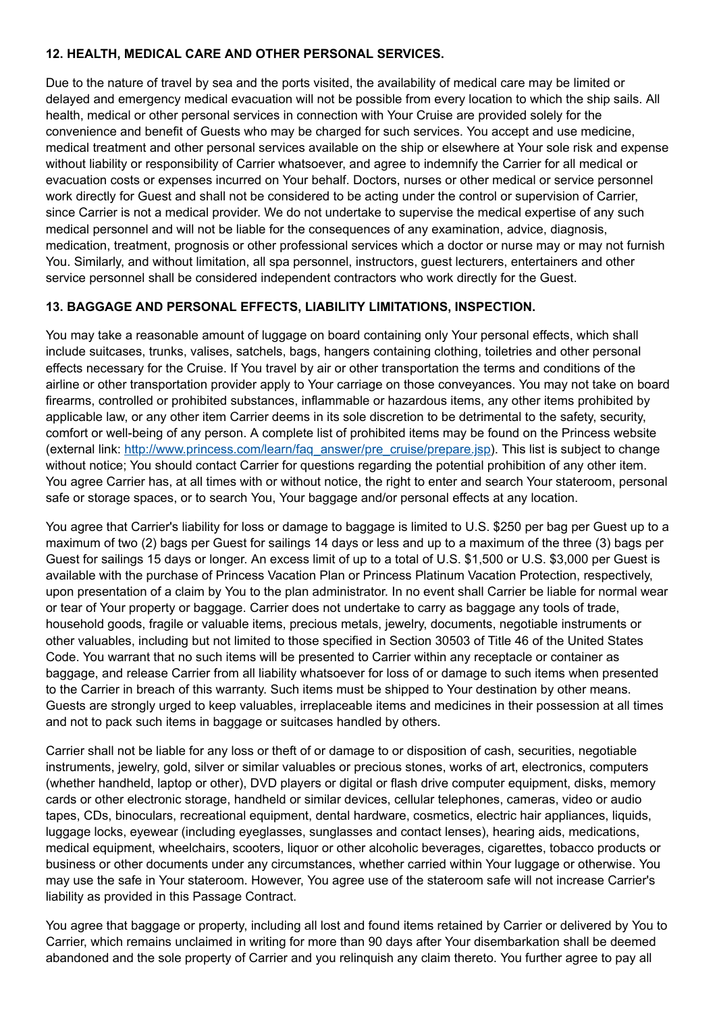## **12. HEALTH, MEDICAL CARE AND OTHER PERSONAL SERVICES.**

Due to the nature of travel by sea and the ports visited, the availability of medical care may be limited or delayed and emergency medical evacuation will not be possible from every location to which the ship sails. All health, medical or other personal services in connection with Your Cruise are provided solely for the convenience and benefit of Guests who may be charged for such services. You accept and use medicine, medical treatment and other personal services available on the ship or elsewhere at Your sole risk and expense without liability or responsibility of Carrier whatsoever, and agree to indemnify the Carrier for all medical or evacuation costs or expenses incurred on Your behalf. Doctors, nurses or other medical or service personnel work directly for Guest and shall not be considered to be acting under the control or supervision of Carrier, since Carrier is not a medical provider. We do not undertake to supervise the medical expertise of any such medical personnel and will not be liable for the consequences of any examination, advice, diagnosis, medication, treatment, prognosis or other professional services which a doctor or nurse may or may not furnish You. Similarly, and without limitation, all spa personnel, instructors, guest lecturers, entertainers and other service personnel shall be considered independent contractors who work directly for the Guest.

# **13. BAGGAGE AND PERSONAL EFFECTS, LIABILITY LIMITATIONS, INSPECTION.**

You may take a reasonable amount of luggage on board containing only Your personal effects, which shall include suitcases, trunks, valises, satchels, bags, hangers containing clothing, toiletries and other personal effects necessary for the Cruise. If You travel by air or other transportation the terms and conditions of the airline or other transportation provider apply to Your carriage on those conveyances. You may not take on board firearms, controlled or prohibited substances, inflammable or hazardous items, any other items prohibited by applicable law, or any other item Carrier deems in its sole discretion to be detrimental to the safety, security, comfort or well-being of any person. A complete list of prohibited items may be found on the Princess website (external link: [http://www.princess.com/learn/faq\\_answer/pre\\_cruise/prepare.jsp\)](http://www.princess.com/learn/faq_answer/pre_cruise/prepare.jsp). This list is subject to change without notice; You should contact Carrier for questions regarding the potential prohibition of any other item. You agree Carrier has, at all times with or without notice, the right to enter and search Your stateroom, personal safe or storage spaces, or to search You, Your baggage and/or personal effects at any location.

You agree that Carrier's liability for loss or damage to baggage is limited to U.S. \$250 per bag per Guest up to a maximum of two (2) bags per Guest for sailings 14 days or less and up to a maximum of the three (3) bags per Guest for sailings 15 days or longer. An excess limit of up to a total of U.S. \$1,500 or U.S. \$3,000 per Guest is available with the purchase of Princess Vacation Plan or Princess Platinum Vacation Protection, respectively, upon presentation of a claim by You to the plan administrator. In no event shall Carrier be liable for normal wear or tear of Your property or baggage. Carrier does not undertake to carry as baggage any tools of trade, household goods, fragile or valuable items, precious metals, jewelry, documents, negotiable instruments or other valuables, including but not limited to those specified in Section 30503 of Title 46 of the United States Code. You warrant that no such items will be presented to Carrier within any receptacle or container as baggage, and release Carrier from all liability whatsoever for loss of or damage to such items when presented to the Carrier in breach of this warranty. Such items must be shipped to Your destination by other means. Guests are strongly urged to keep valuables, irreplaceable items and medicines in their possession at all times and not to pack such items in baggage or suitcases handled by others.

Carrier shall not be liable for any loss or theft of or damage to or disposition of cash, securities, negotiable instruments, jewelry, gold, silver or similar valuables or precious stones, works of art, electronics, computers (whether handheld, laptop or other), DVD players or digital or flash drive computer equipment, disks, memory cards or other electronic storage, handheld or similar devices, cellular telephones, cameras, video or audio tapes, CDs, binoculars, recreational equipment, dental hardware, cosmetics, electric hair appliances, liquids, luggage locks, eyewear (including eyeglasses, sunglasses and contact lenses), hearing aids, medications, medical equipment, wheelchairs, scooters, liquor or other alcoholic beverages, cigarettes, tobacco products or business or other documents under any circumstances, whether carried within Your luggage or otherwise. You may use the safe in Your stateroom. However, You agree use of the stateroom safe will not increase Carrier's liability as provided in this Passage Contract.

You agree that baggage or property, including all lost and found items retained by Carrier or delivered by You to Carrier, which remains unclaimed in writing for more than 90 days after Your disembarkation shall be deemed abandoned and the sole property of Carrier and you relinquish any claim thereto. You further agree to pay all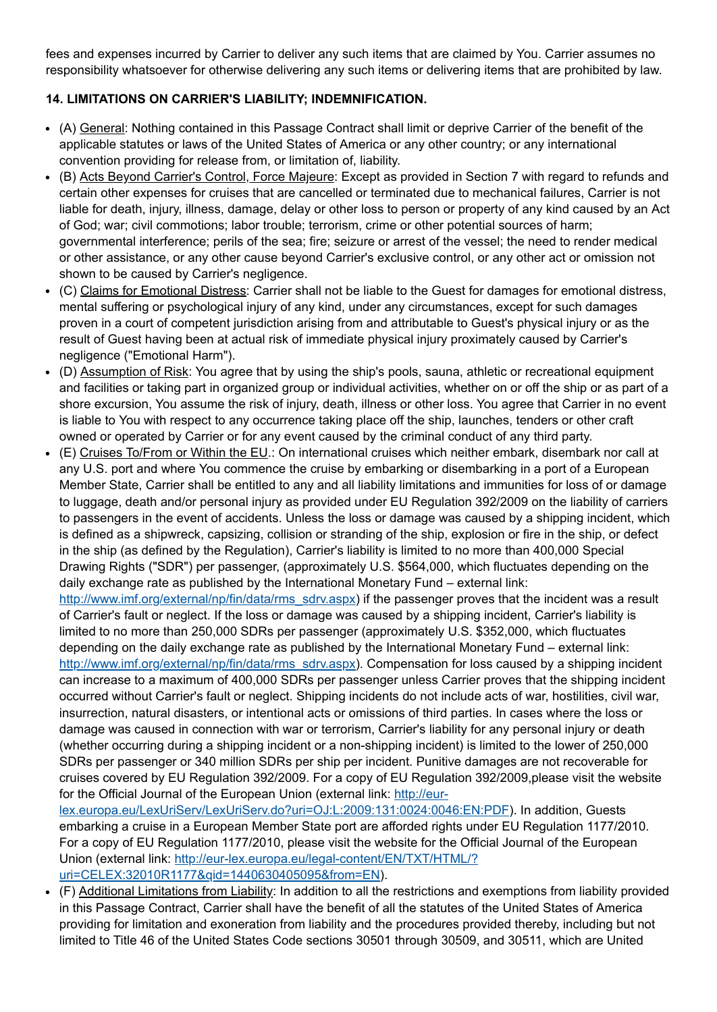fees and expenses incurred by Carrier to deliver any such items that are claimed by You. Carrier assumes no responsibility whatsoever for otherwise delivering any such items or delivering items that are prohibited by law.

# **14. LIMITATIONS ON CARRIER'S LIABILITY; INDEMNIFICATION.**

- (A) General: Nothing contained in this Passage Contract shall limit or deprive Carrier of the benefit of the applicable statutes or laws of the United States of America or any other country; or any international convention providing for release from, or limitation of, liability.
- (B) Acts Beyond Carrier's Control, Force Majeure: Except as provided in Section 7 with regard to refunds and certain other expenses for cruises that are cancelled or terminated due to mechanical failures, Carrier is not liable for death, injury, illness, damage, delay or other loss to person or property of any kind caused by an Act of God; war; civil commotions; labor trouble; terrorism, crime or other potential sources of harm; governmental interference; perils of the sea; fire; seizure or arrest of the vessel; the need to render medical or other assistance, or any other cause beyond Carrier's exclusive control, or any other act or omission not shown to be caused by Carrier's negligence.
- (C) Claims for Emotional Distress: Carrier shall not be liable to the Guest for damages for emotional distress, mental suffering or psychological injury of any kind, under any circumstances, except for such damages proven in a court of competent jurisdiction arising from and attributable to Guest's physical injury or as the result of Guest having been at actual risk of immediate physical injury proximately caused by Carrier's negligence ("Emotional Harm").
- (D) Assumption of Risk: You agree that by using the ship's pools, sauna, athletic or recreational equipment and facilities or taking part in organized group or individual activities, whether on or off the ship or as part of a shore excursion, You assume the risk of injury, death, illness or other loss. You agree that Carrier in no event is liable to You with respect to any occurrence taking place off the ship, launches, tenders or other craft owned or operated by Carrier or for any event caused by the criminal conduct of any third party.
- (E) Cruises To/From or Within the EU.: On international cruises which neither embark, disembark nor call at any U.S. port and where You commence the cruise by embarking or disembarking in a port of a European Member State, Carrier shall be entitled to any and all liability limitations and immunities for loss of or damage to luggage, death and/or personal injury as provided under EU Regulation 392/2009 on the liability of carriers to passengers in the event of accidents. Unless the loss or damage was caused by a shipping incident, which is defined as a shipwreck, capsizing, collision or stranding of the ship, explosion or fire in the ship, or defect in the ship (as defined by the Regulation), Carrier's liability is limited to no more than 400,000 Special Drawing Rights ("SDR") per passenger, (approximately U.S. \$564,000, which fluctuates depending on the daily exchange rate as published by the International Monetary Fund – external link:

[http://www.imf.org/external/np/fin/data/rms\\_sdrv.aspx](http://www.imf.org/external/np/fin/data/rms_sdrv.aspx)) if the passenger proves that the incident was a result of Carrier's fault or neglect. If the loss or damage was caused by a shipping incident, Carrier's liability is limited to no more than 250,000 SDRs per passenger (approximately U.S. \$352,000, which fluctuates depending on the daily exchange rate as published by the International Monetary Fund – external link: [http://www.imf.org/external/np/fin/data/rms\\_sdrv.aspx](http://www.imf.org/external/np/fin/data/rms_sdrv.aspx)). Compensation for loss caused by a shipping incident can increase to a maximum of 400,000 SDRs per passenger unless Carrier proves that the shipping incident occurred without Carrier's fault or neglect. Shipping incidents do not include acts of war, hostilities, civil war, insurrection, natural disasters, or intentional acts or omissions of third parties. In cases where the loss or damage was caused in connection with war or terrorism, Carrier's liability for any personal injury or death (whether occurring during a shipping incident or a non-shipping incident) is limited to the lower of 250,000 SDRs per passenger or 340 million SDRs per ship per incident. Punitive damages are not recoverable for cruises covered by EU Regulation 392/2009. For a copy of EU Regulation 392/2009,please visit the website for the Official Journal of the European Union (external link: http://eur-

[lex.europa.eu/LexUriServ/LexUriServ.do?uri=OJ:L:2009:131:0024:0046:EN:PDF\)](http://eur-lex.europa.eu/LexUriServ/LexUriServ.do?uri=OJ:L:2009:131:0024:0046:EN:PDF). In addition, Guests embarking a cruise in a European Member State port are afforded rights under EU Regulation 1177/2010. For a copy of EU Regulation 1177/2010, please visit the website for the Official Journal of the European [Union \(external link: http://eur-lex.europa.eu/legal-content/EN/TXT/HTML/?](http://eur-lex.europa.eu/legal-content/EN/TXT/HTML/?uri=CELEX:32010R1177&qid=1440630405095&from=EN) uri=CELEX:32010R1177&qid=1440630405095&from=EN).

(F) Additional Limitations from Liability: In addition to all the restrictions and exemptions from liability provided in this Passage Contract, Carrier shall have the benefit of all the statutes of the United States of America providing for limitation and exoneration from liability and the procedures provided thereby, including but not limited to Title 46 of the United States Code sections 30501 through 30509, and 30511, which are United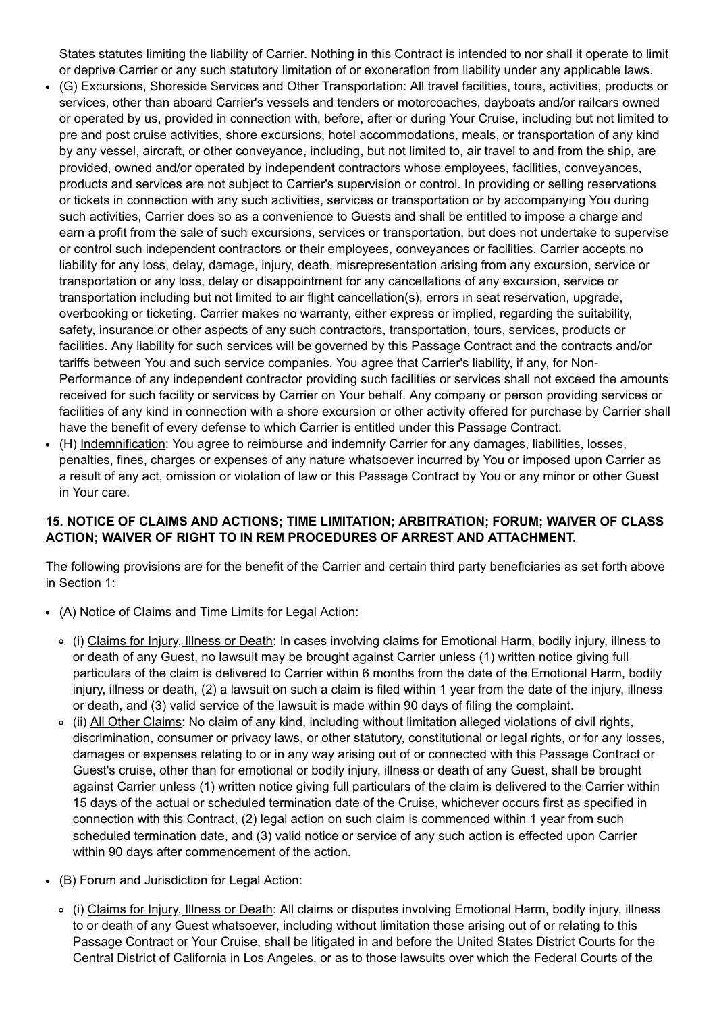States statutes limiting the liability of Carrier. Nothing in this Contract is intended to nor shall it operate to limit or deprive Carrier or any such statutory limitation of or exoneration from liability under any applicable laws.

- (G) Excursions, Shoreside Services and Other Transportation: All travel facilities, tours, activities, products or services, other than aboard Carrier's vessels and tenders or motorcoaches, dayboats and/or railcars owned or operated by us, provided in connection with, before, after or during Your Cruise, including but not limited to pre and post cruise activities, shore excursions, hotel accommodations, meals, or transportation of any kind by any vessel, aircraft, or other conveyance, including, but not limited to, air travel to and from the ship, are provided, owned and/or operated by independent contractors whose employees, facilities, conveyances, products and services are not subject to Carrier's supervision or control. In providing or selling reservations or tickets in connection with any such activities, services or transportation or by accompanying You during such activities, Carrier does so as a convenience to Guests and shall be entitled to impose a charge and earn a profit from the sale of such excursions, services or transportation, but does not undertake to supervise or control such independent contractors or their employees, conveyances or facilities. Carrier accepts no liability for any loss, delay, damage, injury, death, misrepresentation arising from any excursion, service or transportation or any loss, delay or disappointment for any cancellations of any excursion, service or transportation including but not limited to air flight cancellation(s), errors in seat reservation, upgrade, overbooking or ticketing. Carrier makes no warranty, either express or implied, regarding the suitability, safety, insurance or other aspects of any such contractors, transportation, tours, services, products or facilities. Any liability for such services will be governed by this Passage Contract and the contracts and/or tariffs between You and such service companies. You agree that Carrier's liability, if any, for Non-Performance of any independent contractor providing such facilities or services shall not exceed the amounts received for such facility or services by Carrier on Your behalf. Any company or person providing services or facilities of any kind in connection with a shore excursion or other activity offered for purchase by Carrier shall have the benefit of every defense to which Carrier is entitled under this Passage Contract.
- (H) Indemnification: You agree to reimburse and indemnify Carrier for any damages, liabilities, losses, penalties, fines, charges or expenses of any nature whatsoever incurred by You or imposed upon Carrier as a result of any act, omission or violation of law or this Passage Contract by You or any minor or other Guest in Your care.

## **15. NOTICE OF CLAIMS AND ACTIONS; TIME LIMITATION; ARBITRATION; FORUM; WAIVER OF CLASS ACTION; WAIVER OF RIGHT TO IN REM PROCEDURES OF ARREST AND ATTACHMENT.**

The following provisions are for the benefit of the Carrier and certain third party beneficiaries as set forth above in Section 1:

- (A) Notice of Claims and Time Limits for Legal Action:
	- (i) Claims for Injury, Illness or Death: In cases involving claims for Emotional Harm, bodily injury, illness to or death of any Guest, no lawsuit may be brought against Carrier unless (1) written notice giving full particulars of the claim is delivered to Carrier within 6 months from the date of the Emotional Harm, bodily injury, illness or death, (2) a lawsuit on such a claim is filed within 1 year from the date of the injury, illness or death, and (3) valid service of the lawsuit is made within 90 days of filing the complaint.
	- (ii) All Other Claims: No claim of any kind, including without limitation alleged violations of civil rights,  $\circ$ discrimination, consumer or privacy laws, or other statutory, constitutional or legal rights, or for any losses, damages or expenses relating to or in any way arising out of or connected with this Passage Contract or Guest's cruise, other than for emotional or bodily injury, illness or death of any Guest, shall be brought against Carrier unless (1) written notice giving full particulars of the claim is delivered to the Carrier within 15 days of the actual or scheduled termination date of the Cruise, whichever occurs first as specified in connection with this Contract, (2) legal action on such claim is commenced within 1 year from such scheduled termination date, and (3) valid notice or service of any such action is effected upon Carrier within 90 days after commencement of the action.
- (B) Forum and Jurisdiction for Legal Action:
	- (i) Claims for Injury, Illness or Death: All claims or disputes involving Emotional Harm, bodily injury, illness to or death of any Guest whatsoever, including without limitation those arising out of or relating to this Passage Contract or Your Cruise, shall be litigated in and before the United States District Courts for the Central District of California in Los Angeles, or as to those lawsuits over which the Federal Courts of the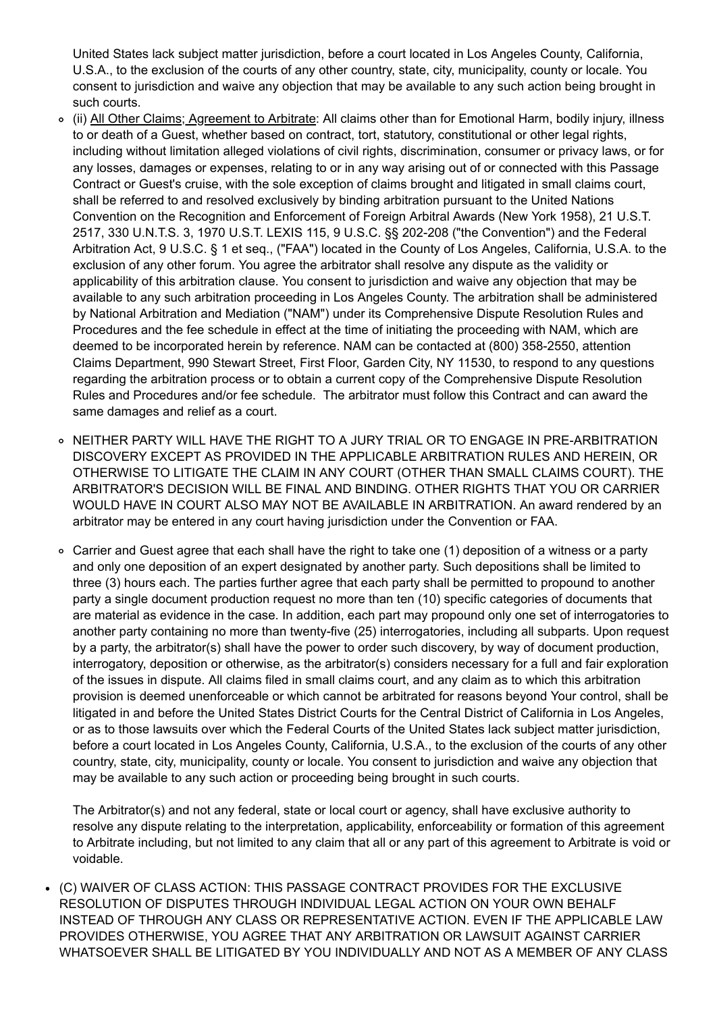United States lack subject matter jurisdiction, before a court located in Los Angeles County, California, U.S.A., to the exclusion of the courts of any other country, state, city, municipality, county or locale. You consent to jurisdiction and waive any objection that may be available to any such action being brought in such courts.

- (ii) All Other Claims; Agreement to Arbitrate: All claims other than for Emotional Harm, bodily injury, illness to or death of a Guest, whether based on contract, tort, statutory, constitutional or other legal rights, including without limitation alleged violations of civil rights, discrimination, consumer or privacy laws, or for any losses, damages or expenses, relating to or in any way arising out of or connected with this Passage Contract or Guest's cruise, with the sole exception of claims brought and litigated in small claims court, shall be referred to and resolved exclusively by binding arbitration pursuant to the United Nations Convention on the Recognition and Enforcement of Foreign Arbitral Awards (New York 1958), 21 U.S.T. 2517, 330 U.N.T.S. 3, 1970 U.S.T. LEXIS 115, 9 U.S.C. §§ 202-208 ("the Convention") and the Federal Arbitration Act, 9 U.S.C. § 1 et seq., ("FAA") located in the County of Los Angeles, California, U.S.A. to the exclusion of any other forum. You agree the arbitrator shall resolve any dispute as the validity or applicability of this arbitration clause. You consent to jurisdiction and waive any objection that may be available to any such arbitration proceeding in Los Angeles County. The arbitration shall be administered by National Arbitration and Mediation ("NAM") under its Comprehensive Dispute Resolution Rules and Procedures and the fee schedule in effect at the time of initiating the proceeding with NAM, which are deemed to be incorporated herein by reference. NAM can be contacted at (800) 358-2550, attention Claims Department, 990 Stewart Street, First Floor, Garden City, NY 11530, to respond to any questions regarding the arbitration process or to obtain a current copy of the Comprehensive Dispute Resolution Rules and Procedures and/or fee schedule. The arbitrator must follow this Contract and can award the same damages and relief as a court.
- o NEITHER PARTY WILL HAVE THE RIGHT TO A JURY TRIAL OR TO ENGAGE IN PRE-ARBITRATION DISCOVERY EXCEPT AS PROVIDED IN THE APPLICABLE ARBITRATION RULES AND HEREIN, OR OTHERWISE TO LITIGATE THE CLAIM IN ANY COURT (OTHER THAN SMALL CLAIMS COURT). THE ARBITRATOR'S DECISION WILL BE FINAL AND BINDING. OTHER RIGHTS THAT YOU OR CARRIER WOULD HAVE IN COURT ALSO MAY NOT BE AVAILABLE IN ARBITRATION. An award rendered by an arbitrator may be entered in any court having jurisdiction under the Convention or FAA.
- $\circ$ Carrier and Guest agree that each shall have the right to take one (1) deposition of a witness or a party and only one deposition of an expert designated by another party. Such depositions shall be limited to three (3) hours each. The parties further agree that each party shall be permitted to propound to another party a single document production request no more than ten (10) specific categories of documents that are material as evidence in the case. In addition, each part may propound only one set of interrogatories to another party containing no more than twenty-five (25) interrogatories, including all subparts. Upon request by a party, the arbitrator(s) shall have the power to order such discovery, by way of document production, interrogatory, deposition or otherwise, as the arbitrator(s) considers necessary for a full and fair exploration of the issues in dispute. All claims filed in small claims court, and any claim as to which this arbitration provision is deemed unenforceable or which cannot be arbitrated for reasons beyond Your control, shall be litigated in and before the United States District Courts for the Central District of California in Los Angeles, or as to those lawsuits over which the Federal Courts of the United States lack subject matter jurisdiction, before a court located in Los Angeles County, California, U.S.A., to the exclusion of the courts of any other country, state, city, municipality, county or locale. You consent to jurisdiction and waive any objection that may be available to any such action or proceeding being brought in such courts.

The Arbitrator(s) and not any federal, state or local court or agency, shall have exclusive authority to resolve any dispute relating to the interpretation, applicability, enforceability or formation of this agreement to Arbitrate including, but not limited to any claim that all or any part of this agreement to Arbitrate is void or voidable.

(C) WAIVER OF CLASS ACTION: THIS PASSAGE CONTRACT PROVIDES FOR THE EXCLUSIVE RESOLUTION OF DISPUTES THROUGH INDIVIDUAL LEGAL ACTION ON YOUR OWN BEHALF INSTEAD OF THROUGH ANY CLASS OR REPRESENTATIVE ACTION. EVEN IF THE APPLICABLE LAW PROVIDES OTHERWISE, YOU AGREE THAT ANY ARBITRATION OR LAWSUIT AGAINST CARRIER WHATSOEVER SHALL BE LITIGATED BY YOU INDIVIDUALLY AND NOT AS A MEMBER OF ANY CLASS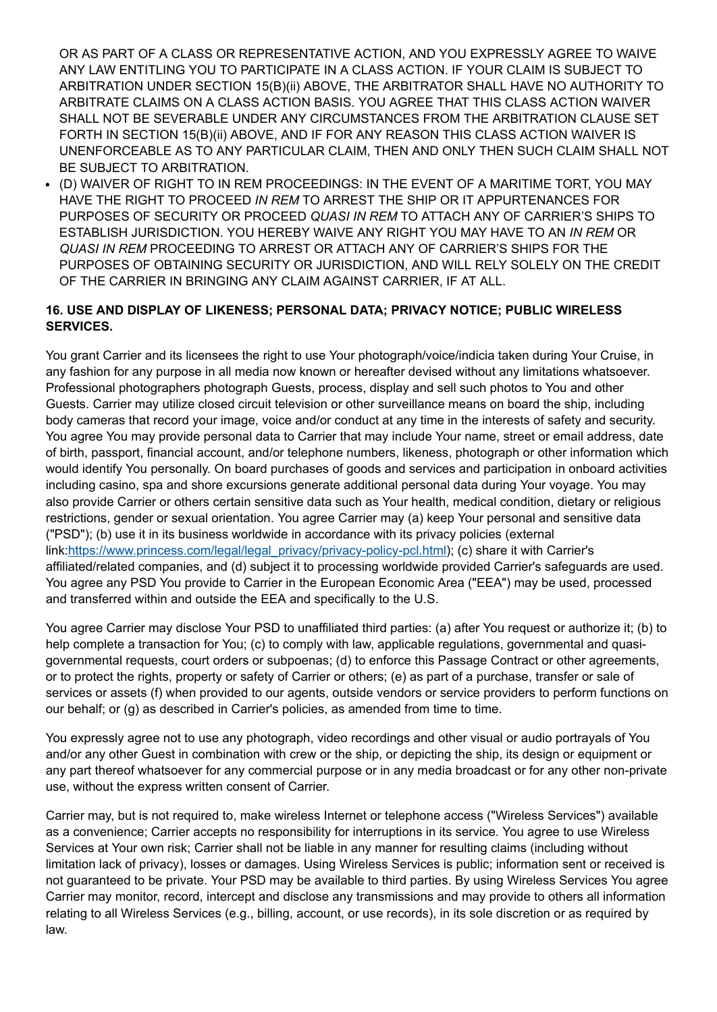OR AS PART OF A CLASS OR REPRESENTATIVE ACTION, AND YOU EXPRESSLY AGREE TO WAIVE ANY LAW ENTITLING YOU TO PARTICIPATE IN A CLASS ACTION. IF YOUR CLAIM IS SUBJECT TO ARBITRATION UNDER SECTION 15(B)(ii) ABOVE, THE ARBITRATOR SHALL HAVE NO AUTHORITY TO ARBITRATE CLAIMS ON A CLASS ACTION BASIS. YOU AGREE THAT THIS CLASS ACTION WAIVER SHALL NOT BE SEVERABLE UNDER ANY CIRCUMSTANCES FROM THE ARBITRATION CLAUSE SET FORTH IN SECTION 15(B)(ii) ABOVE, AND IF FOR ANY REASON THIS CLASS ACTION WAIVER IS UNENFORCEABLE AS TO ANY PARTICULAR CLAIM, THEN AND ONLY THEN SUCH CLAIM SHALL NOT BE SUBJECT TO ARBITRATION.

(D) WAIVER OF RIGHT TO IN REM PROCEEDINGS: IN THE EVENT OF A MARITIME TORT, YOU MAY HAVE THE RIGHT TO PROCEED *IN REM* TO ARREST THE SHIP OR IT APPURTENANCES FOR PURPOSES OF SECURITY OR PROCEED *QUASI IN REM* TO ATTACH ANY OF CARRIER'S SHIPS TO ESTABLISH JURISDICTION. YOU HEREBY WAIVE ANY RIGHT YOU MAY HAVE TO AN *IN REM* OR *QUASI IN REM* PROCEEDING TO ARREST OR ATTACH ANY OF CARRIER'S SHIPS FOR THE PURPOSES OF OBTAINING SECURITY OR JURISDICTION, AND WILL RELY SOLELY ON THE CREDIT OF THE CARRIER IN BRINGING ANY CLAIM AGAINST CARRIER, IF AT ALL.

## **16. USE AND DISPLAY OF LIKENESS; PERSONAL DATA; PRIVACY NOTICE; PUBLIC WIRELESS SERVICES.**

You grant Carrier and its licensees the right to use Your photograph/voice/indicia taken during Your Cruise, in any fashion for any purpose in all media now known or hereafter devised without any limitations whatsoever. Professional photographers photograph Guests, process, display and sell such photos to You and other Guests. Carrier may utilize closed circuit television or other surveillance means on board the ship, including body cameras that record your image, voice and/or conduct at any time in the interests of safety and security. You agree You may provide personal data to Carrier that may include Your name, street or email address, date of birth, passport, financial account, and/or telephone numbers, likeness, photograph or other information which would identify You personally. On board purchases of goods and services and participation in onboard activities including casino, spa and shore excursions generate additional personal data during Your voyage. You may also provide Carrier or others certain sensitive data such as Your health, medical condition, dietary or religious restrictions, gender or sexual orientation. You agree Carrier may (a) keep Your personal and sensitive data ("PSD"); (b) use it in its business worldwide in accordance with its privacy policies (external link:[https://www.princess.com/legal/legal\\_privacy/privacy-policy-pcl.html](https://www.princess.com/legal/legal_privacy/privacy-policy-pcl.html)); (c) share it with Carrier's affiliated/related companies, and (d) subject it to processing worldwide provided Carrier's safeguards are used. You agree any PSD You provide to Carrier in the European Economic Area ("EEA") may be used, processed and transferred within and outside the EEA and specifically to the U.S.

You agree Carrier may disclose Your PSD to unaffiliated third parties: (a) after You request or authorize it; (b) to help complete a transaction for You; (c) to comply with law, applicable regulations, governmental and quasigovernmental requests, court orders or subpoenas; (d) to enforce this Passage Contract or other agreements, or to protect the rights, property or safety of Carrier or others; (e) as part of a purchase, transfer or sale of services or assets (f) when provided to our agents, outside vendors or service providers to perform functions on our behalf; or (g) as described in Carrier's policies, as amended from time to time.

You expressly agree not to use any photograph, video recordings and other visual or audio portrayals of You and/or any other Guest in combination with crew or the ship, or depicting the ship, its design or equipment or any part thereof whatsoever for any commercial purpose or in any media broadcast or for any other non-private use, without the express written consent of Carrier.

Carrier may, but is not required to, make wireless Internet or telephone access ("Wireless Services") available as a convenience; Carrier accepts no responsibility for interruptions in its service. You agree to use Wireless Services at Your own risk; Carrier shall not be liable in any manner for resulting claims (including without limitation lack of privacy), losses or damages. Using Wireless Services is public; information sent or received is not guaranteed to be private. Your PSD may be available to third parties. By using Wireless Services You agree Carrier may monitor, record, intercept and disclose any transmissions and may provide to others all information relating to all Wireless Services (e.g., billing, account, or use records), in its sole discretion or as required by law.